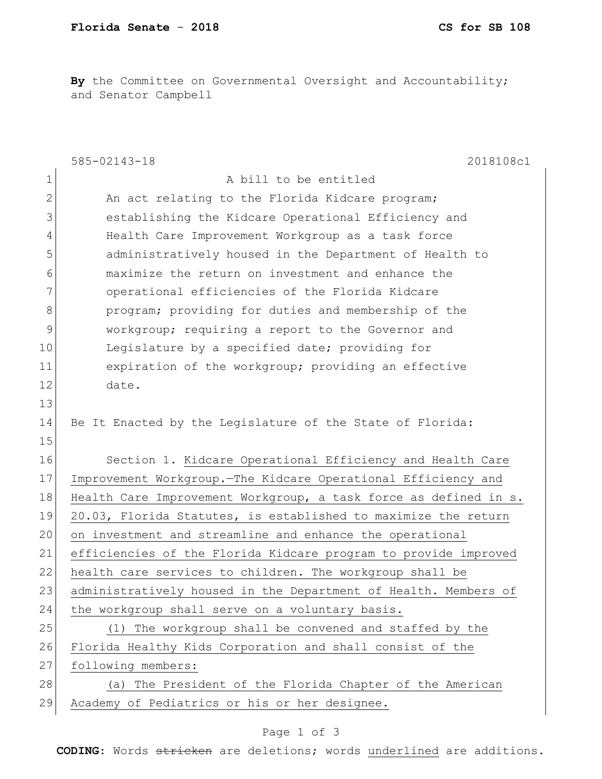By the Committee on Governmental Oversight and Accountability; and Senator Campbell

|              | 585-02143-18<br>2018108c1                                        |
|--------------|------------------------------------------------------------------|
| $\mathbf 1$  | A bill to be entitled                                            |
| $\mathbf{2}$ | An act relating to the Florida Kidcare program;                  |
| 3            | establishing the Kidcare Operational Efficiency and              |
| 4            | Health Care Improvement Workgroup as a task force                |
| 5            | administratively housed in the Department of Health to           |
| 6            | maximize the return on investment and enhance the                |
| 7            | operational efficiencies of the Florida Kidcare                  |
| 8            | program; providing for duties and membership of the              |
| 9            | workgroup; requiring a report to the Governor and                |
| 10           | Legislature by a specified date; providing for                   |
| 11           | expiration of the workgroup; providing an effective              |
| 12           | date.                                                            |
| 13           |                                                                  |
| 14           | Be It Enacted by the Legislature of the State of Florida:        |
| 15           |                                                                  |
| 16           | Section 1. Kidcare Operational Efficiency and Health Care        |
| 17           | Improvement Workgroup. The Kidcare Operational Efficiency and    |
| 18           | Health Care Improvement Workgroup, a task force as defined in s. |
| 19           | 20.03, Florida Statutes, is established to maximize the return   |
| 20           | on investment and streamline and enhance the operational         |
| 21           | efficiencies of the Florida Kidcare program to provide improved  |
| 22           | health care services to children. The workgroup shall be         |
| 23           | administratively housed in the Department of Health. Members of  |
| 24           | the workgroup shall serve on a voluntary basis.                  |
| 25           | (1) The workgroup shall be convened and staffed by the           |
| 26           | Florida Healthy Kids Corporation and shall consist of the        |
| 27           | following members:                                               |
| 28           | (a) The President of the Florida Chapter of the American         |
| 29           | Academy of Pediatrics or his or her designee.                    |

## Page 1 of 3

**CODING**: Words stricken are deletions; words underlined are additions.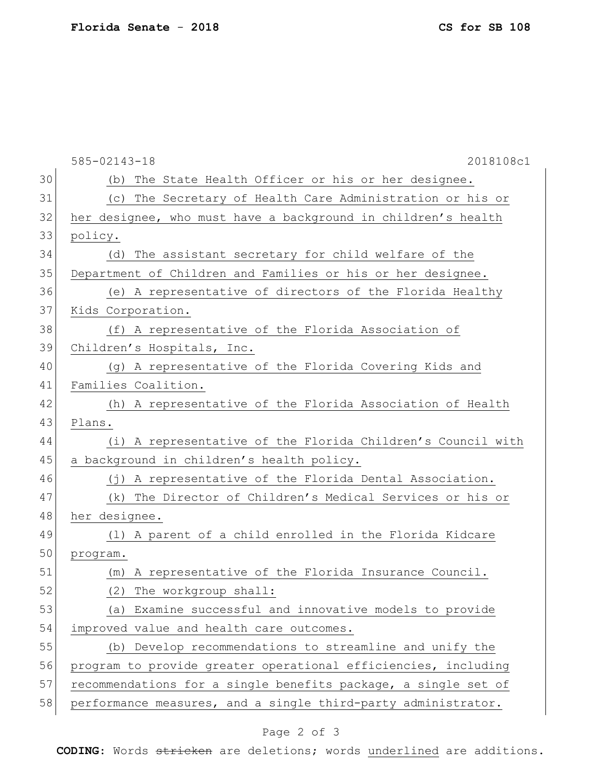|    | 585-02143-18<br>2018108c1                                      |
|----|----------------------------------------------------------------|
| 30 | (b) The State Health Officer or his or her designee.           |
| 31 | The Secretary of Health Care Administration or his or<br>(C)   |
| 32 | her designee, who must have a background in children's health  |
| 33 | policy.                                                        |
| 34 | The assistant secretary for child welfare of the<br>(d)        |
| 35 | Department of Children and Families or his or her designee.    |
| 36 | (e) A representative of directors of the Florida Healthy       |
| 37 | Kids Corporation.                                              |
| 38 | (f) A representative of the Florida Association of             |
| 39 | Children's Hospitals, Inc.                                     |
| 40 | (g) A representative of the Florida Covering Kids and          |
| 41 | Families Coalition.                                            |
| 42 | (h) A representative of the Florida Association of Health      |
| 43 | Plans.                                                         |
| 44 | (i) A representative of the Florida Children's Council with    |
| 45 | a background in children's health policy.                      |
| 46 | (j) A representative of the Florida Dental Association.        |
| 47 | The Director of Children's Medical Services or his or<br>(k)   |
| 48 | her designee.                                                  |
| 49 | (1) A parent of a child enrolled in the Florida Kidcare        |
| 50 | program.                                                       |
| 51 | A representative of the Florida Insurance Council.<br>(m)      |
| 52 | (2) The workgroup shall:                                       |
| 53 | (a) Examine successful and innovative models to provide        |
| 54 | improved value and health care outcomes.                       |
| 55 | (b) Develop recommendations to streamline and unify the        |
| 56 | program to provide greater operational efficiencies, including |
| 57 | recommendations for a single benefits package, a single set of |
| 58 | performance measures, and a single third-party administrator.  |
|    |                                                                |

## Page 2 of 3

**CODING**: Words stricken are deletions; words underlined are additions.